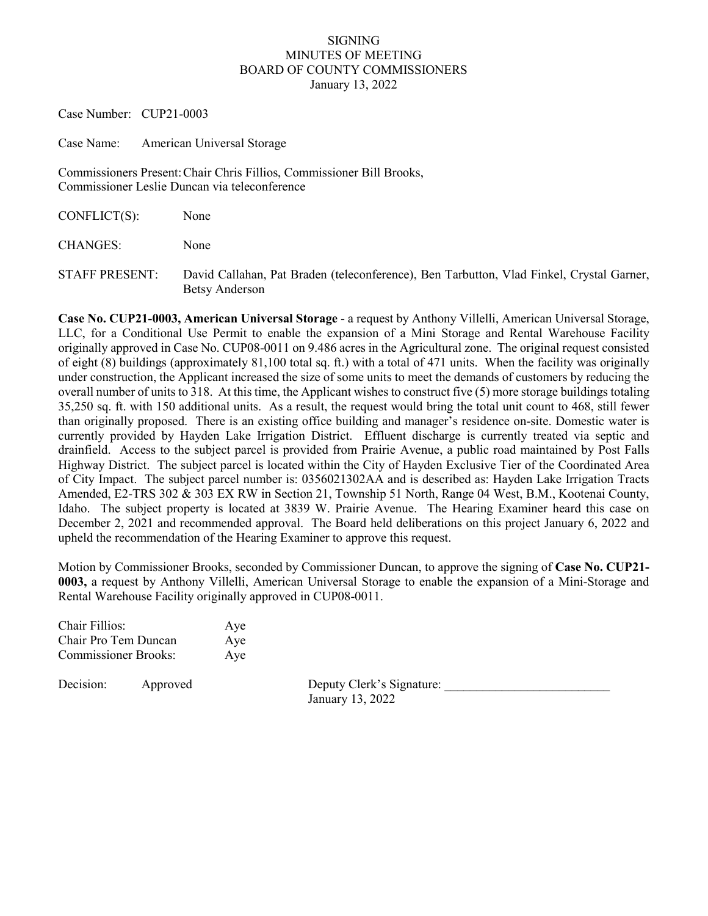## SIGNING MINUTES OF MEETING BOARD OF COUNTY COMMISSIONERS January 13, 2022

Case Number: CUP21-0003

Case Name: American Universal Storage

Commissioners Present:Chair Chris Fillios, Commissioner Bill Brooks, Commissioner Leslie Duncan via teleconference

| $CONFLICT(S)$ :       | None                                                                                                       |
|-----------------------|------------------------------------------------------------------------------------------------------------|
| <b>CHANGES:</b>       | None                                                                                                       |
| <b>STAFF PRESENT:</b> | David Callahan, Pat Braden (teleconference), Ben Tarbutton, Vlad Finkel, Crystal Garner,<br>Betsy Anderson |

**Case No. CUP21-0003, American Universal Storage** - a request by Anthony Villelli, American Universal Storage, LLC, for a Conditional Use Permit to enable the expansion of a Mini Storage and Rental Warehouse Facility originally approved in Case No. CUP08-0011 on 9.486 acres in the Agricultural zone. The original request consisted of eight (8) buildings (approximately 81,100 total sq. ft.) with a total of 471 units. When the facility was originally under construction, the Applicant increased the size of some units to meet the demands of customers by reducing the overall number of units to 318. At this time, the Applicant wishes to construct five (5) more storage buildings totaling 35,250 sq. ft. with 150 additional units. As a result, the request would bring the total unit count to 468, still fewer than originally proposed. There is an existing office building and manager's residence on-site. Domestic water is currently provided by Hayden Lake Irrigation District. Effluent discharge is currently treated via septic and drainfield. Access to the subject parcel is provided from Prairie Avenue, a public road maintained by Post Falls Highway District. The subject parcel is located within the City of Hayden Exclusive Tier of the Coordinated Area of City Impact. The subject parcel number is: 0356021302AA and is described as: Hayden Lake Irrigation Tracts Amended, E2-TRS 302 & 303 EX RW in Section 21, Township 51 North, Range 04 West, B.M., Kootenai County, Idaho. The subject property is located at 3839 W. Prairie Avenue. The Hearing Examiner heard this case on December 2, 2021 and recommended approval. The Board held deliberations on this project January 6, 2022 and upheld the recommendation of the Hearing Examiner to approve this request.

Motion by Commissioner Brooks, seconded by Commissioner Duncan, to approve the signing of **Case No. CUP21- 0003,** a request by Anthony Villelli, American Universal Storage to enable the expansion of a Mini-Storage and Rental Warehouse Facility originally approved in CUP08-0011.

| Chair Fillios:              | Aye |
|-----------------------------|-----|
| Chair Pro Tem Duncan        | Aye |
| <b>Commissioner Brooks:</b> | Aye |

Decision: Approved Deputy Clerk's Signature: January 13, 2022